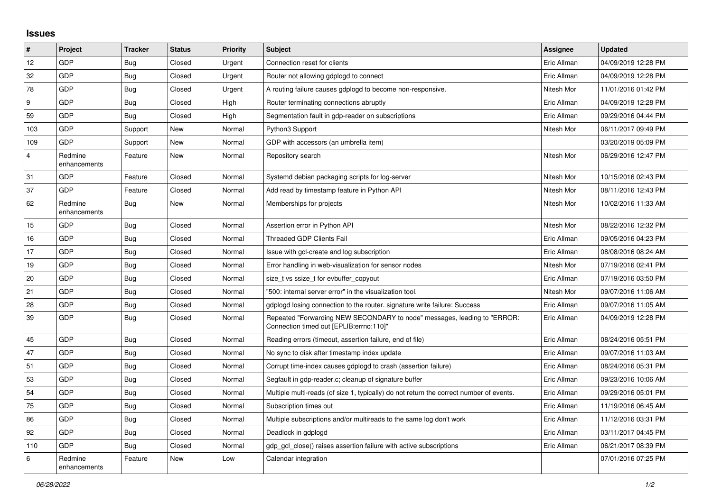## **Issues**

| #              | Project                 | <b>Tracker</b> | <b>Status</b> | <b>Priority</b> | <b>Subject</b>                                                                                                      | Assignee    | <b>Updated</b>      |
|----------------|-------------------------|----------------|---------------|-----------------|---------------------------------------------------------------------------------------------------------------------|-------------|---------------------|
| 12             | GDP                     | Bug            | Closed        | Urgent          | Connection reset for clients                                                                                        | Eric Allman | 04/09/2019 12:28 PM |
| 32             | GDP                     | <b>Bug</b>     | Closed        | Urgent          | Router not allowing gdplogd to connect                                                                              | Eric Allman | 04/09/2019 12:28 PM |
| 78             | GDP                     | Bug            | Closed        | Urgent          | A routing failure causes gdplogd to become non-responsive.                                                          | Nitesh Mor  | 11/01/2016 01:42 PM |
| 9              | GDP                     | Bug            | Closed        | High            | Router terminating connections abruptly                                                                             | Eric Allman | 04/09/2019 12:28 PM |
| 59             | GDP                     | Bug            | Closed        | High            | Segmentation fault in gdp-reader on subscriptions                                                                   | Eric Allman | 09/29/2016 04:44 PM |
| 103            | GDP                     | Support        | New           | Normal          | Python3 Support                                                                                                     | Nitesh Mor  | 06/11/2017 09:49 PM |
| 109            | GDP                     | Support        | New           | Normal          | GDP with accessors (an umbrella item)                                                                               |             | 03/20/2019 05:09 PM |
| $\overline{4}$ | Redmine<br>enhancements | Feature        | <b>New</b>    | Normal          | Repository search                                                                                                   | Nitesh Mor  | 06/29/2016 12:47 PM |
| 31             | GDP                     | Feature        | Closed        | Normal          | Systemd debian packaging scripts for log-server                                                                     | Nitesh Mor  | 10/15/2016 02:43 PM |
| 37             | GDP                     | Feature        | Closed        | Normal          | Add read by timestamp feature in Python API                                                                         | Nitesh Mor  | 08/11/2016 12:43 PM |
| 62             | Redmine<br>enhancements | <b>Bug</b>     | New           | Normal          | Memberships for projects                                                                                            | Nitesh Mor  | 10/02/2016 11:33 AM |
| 15             | GDP                     | Bug            | Closed        | Normal          | Assertion error in Python API                                                                                       | Nitesh Mor  | 08/22/2016 12:32 PM |
| 16             | GDP                     | Bug            | Closed        | Normal          | <b>Threaded GDP Clients Fail</b>                                                                                    | Eric Allman | 09/05/2016 04:23 PM |
| 17             | GDP                     | Bug            | Closed        | Normal          | Issue with gcl-create and log subscription                                                                          | Eric Allman | 08/08/2016 08:24 AM |
| 19             | GDP                     | Bug            | Closed        | Normal          | Error handling in web-visualization for sensor nodes                                                                | Nitesh Mor  | 07/19/2016 02:41 PM |
| 20             | <b>GDP</b>              | Bug            | Closed        | Normal          | size t vs ssize t for evbuffer copyout                                                                              | Eric Allman | 07/19/2016 03:50 PM |
| 21             | GDP                     | <b>Bug</b>     | Closed        | Normal          | '500: internal server error" in the visualization tool.                                                             | Nitesh Mor  | 09/07/2016 11:06 AM |
| 28             | GDP                     | Bug            | Closed        | Normal          | gdplogd losing connection to the router, signature write failure: Success                                           | Eric Allman | 09/07/2016 11:05 AM |
| 39             | GDP                     | <b>Bug</b>     | Closed        | Normal          | Repeated "Forwarding NEW SECONDARY to node" messages, leading to "ERROR:<br>Connection timed out [EPLIB:errno:110]" | Eric Allman | 04/09/2019 12:28 PM |
| 45             | GDP                     | <b>Bug</b>     | Closed        | Normal          | Reading errors (timeout, assertion failure, end of file)                                                            | Eric Allman | 08/24/2016 05:51 PM |
| 47             | GDP                     | Bug            | Closed        | Normal          | No sync to disk after timestamp index update                                                                        | Eric Allman | 09/07/2016 11:03 AM |
| 51             | <b>GDP</b>              | Bug            | Closed        | Normal          | Corrupt time-index causes gdplogd to crash (assertion failure)                                                      | Eric Allman | 08/24/2016 05:31 PM |
| 53             | GDP                     | <b>Bug</b>     | Closed        | Normal          | Segfault in gdp-reader.c; cleanup of signature buffer                                                               | Eric Allman | 09/23/2016 10:06 AM |
| 54             | GDP                     | <b>Bug</b>     | Closed        | Normal          | Multiple multi-reads (of size 1, typically) do not return the correct number of events.                             | Eric Allman | 09/29/2016 05:01 PM |
| 75             | GDP                     | <b>Bug</b>     | Closed        | Normal          | Subscription times out                                                                                              | Eric Allman | 11/19/2016 06:45 AM |
| 86             | GDP                     | Bug            | Closed        | Normal          | Multiple subscriptions and/or multireads to the same log don't work                                                 | Eric Allman | 11/12/2016 03:31 PM |
| 92             | GDP                     | Bug            | Closed        | Normal          | Deadlock in gdplogd                                                                                                 | Eric Allman | 03/11/2017 04:45 PM |
| 110            | <b>GDP</b>              | <b>Bug</b>     | Closed        | Normal          | gdp gcl close() raises assertion failure with active subscriptions                                                  | Eric Allman | 06/21/2017 08:39 PM |
| 6              | Redmine<br>enhancements | Feature        | New           | Low             | Calendar integration                                                                                                |             | 07/01/2016 07:25 PM |